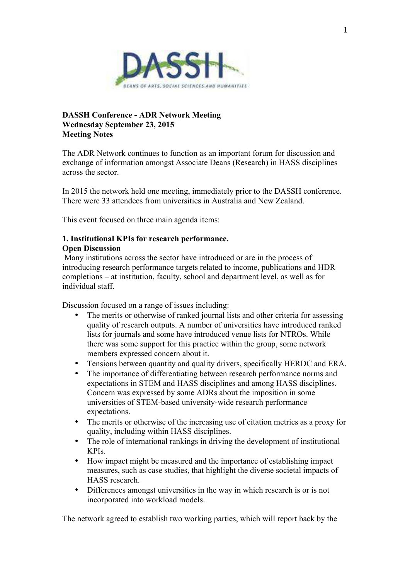

# **DASSH Conference - ADR Network Meeting Wednesday September 23, 2015 Meeting Notes**

The ADR Network continues to function as an important forum for discussion and exchange of information amongst Associate Deans (Research) in HASS disciplines across the sector.

In 2015 the network held one meeting, immediately prior to the DASSH conference. There were 33 attendees from universities in Australia and New Zealand.

This event focused on three main agenda items:

# **1. Institutional KPIs for research performance.**

### **Open Discussion**

 Many institutions across the sector have introduced or are in the process of introducing research performance targets related to income, publications and HDR completions – at institution, faculty, school and department level, as well as for individual staff.

Discussion focused on a range of issues including:

- The merits or otherwise of ranked journal lists and other criteria for assessing quality of research outputs. A number of universities have introduced ranked lists for journals and some have introduced venue lists for NTROs. While there was some support for this practice within the group, some network members expressed concern about it.
- Tensions between quantity and quality drivers, specifically HERDC and ERA.
- The importance of differentiating between research performance norms and expectations in STEM and HASS disciplines and among HASS disciplines. Concern was expressed by some ADRs about the imposition in some universities of STEM-based university-wide research performance expectations.
- The merits or otherwise of the increasing use of citation metrics as a proxy for quality, including within HASS disciplines.
- The role of international rankings in driving the development of institutional KPIs.
- How impact might be measured and the importance of establishing impact measures, such as case studies, that highlight the diverse societal impacts of HASS research.
- Differences amongst universities in the way in which research is or is not incorporated into workload models.

The network agreed to establish two working parties, which will report back by the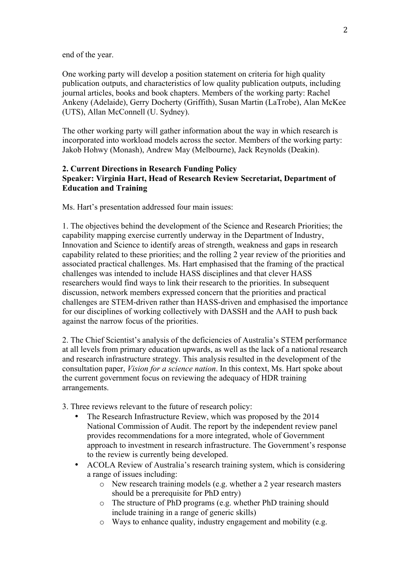end of the year.

One working party will develop a position statement on criteria for high quality publication outputs, and characteristics of low quality publication outputs, including journal articles, books and book chapters. Members of the working party: Rachel Ankeny (Adelaide), Gerry Docherty (Griffith), Susan Martin (LaTrobe), Alan McKee (UTS), Allan McConnell (U. Sydney).

The other working party will gather information about the way in which research is incorporated into workload models across the sector. Members of the working party: Jakob Hohwy (Monash), Andrew May (Melbourne), Jack Reynolds (Deakin).

## **2. Current Directions in Research Funding Policy Speaker: Virginia Hart, Head of Research Review Secretariat, Department of Education and Training**

Ms. Hart's presentation addressed four main issues:

1. The objectives behind the development of the Science and Research Priorities; the capability mapping exercise currently underway in the Department of Industry, Innovation and Science to identify areas of strength, weakness and gaps in research capability related to these priorities; and the rolling 2 year review of the priorities and associated practical challenges. Ms. Hart emphasised that the framing of the practical challenges was intended to include HASS disciplines and that clever HASS researchers would find ways to link their research to the priorities. In subsequent discussion, network members expressed concern that the priorities and practical challenges are STEM-driven rather than HASS-driven and emphasised the importance for our disciplines of working collectively with DASSH and the AAH to push back against the narrow focus of the priorities.

2. The Chief Scientist's analysis of the deficiencies of Australia's STEM performance at all levels from primary education upwards, as well as the lack of a national research and research infrastructure strategy. This analysis resulted in the development of the consultation paper, *Vision for a science nation*. In this context, Ms. Hart spoke about the current government focus on reviewing the adequacy of HDR training arrangements.

3. Three reviews relevant to the future of research policy:

- The Research Infrastructure Review, which was proposed by the 2014 National Commission of Audit. The report by the independent review panel provides recommendations for a more integrated, whole of Government approach to investment in research infrastructure. The Government's response to the review is currently being developed.
- ACOLA Review of Australia's research training system, which is considering a range of issues including:
	- o New research training models (e.g. whether a 2 year research masters should be a prerequisite for PhD entry)
	- o The structure of PhD programs (e.g. whether PhD training should include training in a range of generic skills)
	- o Ways to enhance quality, industry engagement and mobility (e.g.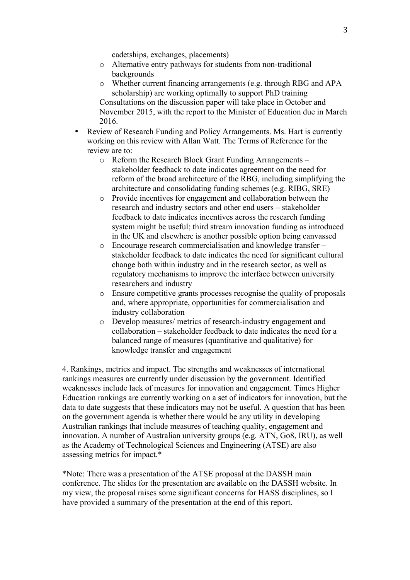cadetships, exchanges, placements)

- o Alternative entry pathways for students from non-traditional backgrounds
- o Whether current financing arrangements (e.g. through RBG and APA scholarship) are working optimally to support PhD training Consultations on the discussion paper will take place in October and November 2015, with the report to the Minister of Education due in March 2016.
- Review of Research Funding and Policy Arrangements. Ms. Hart is currently working on this review with Allan Watt. The Terms of Reference for the review are to:
	- o Reform the Research Block Grant Funding Arrangements stakeholder feedback to date indicates agreement on the need for reform of the broad architecture of the RBG, including simplifying the architecture and consolidating funding schemes (e.g. RIBG, SRE)
	- o Provide incentives for engagement and collaboration between the research and industry sectors and other end users – stakeholder feedback to date indicates incentives across the research funding system might be useful; third stream innovation funding as introduced in the UK and elsewhere is another possible option being canvassed
	- o Encourage research commercialisation and knowledge transfer stakeholder feedback to date indicates the need for significant cultural change both within industry and in the research sector, as well as regulatory mechanisms to improve the interface between university researchers and industry
	- o Ensure competitive grants processes recognise the quality of proposals and, where appropriate, opportunities for commercialisation and industry collaboration
	- o Develop measures/ metrics of research-industry engagement and collaboration – stakeholder feedback to date indicates the need for a balanced range of measures (quantitative and qualitative) for knowledge transfer and engagement

4. Rankings, metrics and impact. The strengths and weaknesses of international rankings measures are currently under discussion by the government. Identified weaknesses include lack of measures for innovation and engagement. Times Higher Education rankings are currently working on a set of indicators for innovation, but the data to date suggests that these indicators may not be useful. A question that has been on the government agenda is whether there would be any utility in developing Australian rankings that include measures of teaching quality, engagement and innovation. A number of Australian university groups (e.g. ATN, Go8, IRU), as well as the Academy of Technological Sciences and Engineering (ATSE) are also assessing metrics for impact.\*

\*Note: There was a presentation of the ATSE proposal at the DASSH main conference. The slides for the presentation are available on the DASSH website. In my view, the proposal raises some significant concerns for HASS disciplines, so I have provided a summary of the presentation at the end of this report.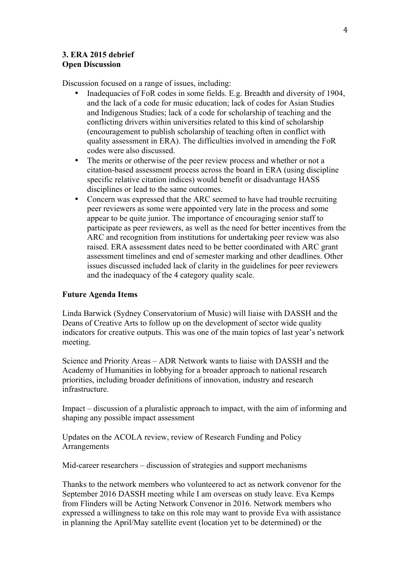## **3. ERA 2015 debrief Open Discussion**

Discussion focused on a range of issues, including:

- Inadequacies of FoR codes in some fields. E.g. Breadth and diversity of 1904, and the lack of a code for music education; lack of codes for Asian Studies and Indigenous Studies; lack of a code for scholarship of teaching and the conflicting drivers within universities related to this kind of scholarship (encouragement to publish scholarship of teaching often in conflict with quality assessment in ERA). The difficulties involved in amending the FoR codes were also discussed.
- The merits or otherwise of the peer review process and whether or not a citation-based assessment process across the board in ERA (using discipline specific relative citation indices) would benefit or disadvantage HASS disciplines or lead to the same outcomes.
- Concern was expressed that the ARC seemed to have had trouble recruiting peer reviewers as some were appointed very late in the process and some appear to be quite junior. The importance of encouraging senior staff to participate as peer reviewers, as well as the need for better incentives from the ARC and recognition from institutions for undertaking peer review was also raised. ERA assessment dates need to be better coordinated with ARC grant assessment timelines and end of semester marking and other deadlines. Other issues discussed included lack of clarity in the guidelines for peer reviewers and the inadequacy of the 4 category quality scale.

### **Future Agenda Items**

Linda Barwick (Sydney Conservatorium of Music) will liaise with DASSH and the Deans of Creative Arts to follow up on the development of sector wide quality indicators for creative outputs. This was one of the main topics of last year's network meeting.

Science and Priority Areas – ADR Network wants to liaise with DASSH and the Academy of Humanities in lobbying for a broader approach to national research priorities, including broader definitions of innovation, industry and research infrastructure.

Impact – discussion of a pluralistic approach to impact, with the aim of informing and shaping any possible impact assessment

Updates on the ACOLA review, review of Research Funding and Policy Arrangements

Mid-career researchers – discussion of strategies and support mechanisms

Thanks to the network members who volunteered to act as network convenor for the September 2016 DASSH meeting while I am overseas on study leave. Eva Kemps from Flinders will be Acting Network Convenor in 2016. Network members who expressed a willingness to take on this role may want to provide Eva with assistance in planning the April/May satellite event (location yet to be determined) or the